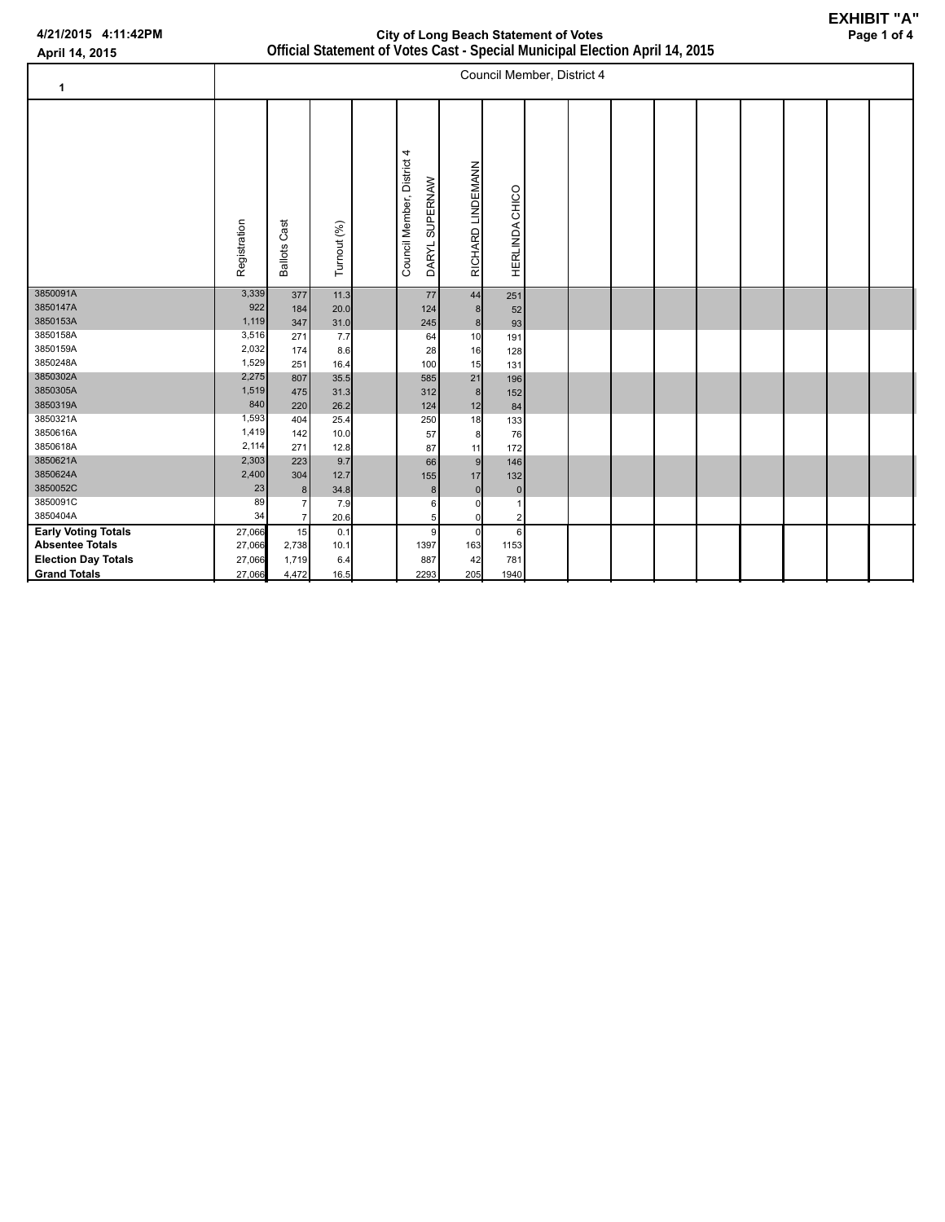| APIII 17, 4013             |                |                     |             |                                              | $\sim$ and $\sim$ and $\sim$ and $\sim$ and $\sim$ and $\sim$ and $\sim$ and $\sim$ and $\sim$ and $\sim$ and $\sim$ and $\sim$ $\sim$ $\sim$ $\sim$ |                |                            |  |  |  |  |
|----------------------------|----------------|---------------------|-------------|----------------------------------------------|------------------------------------------------------------------------------------------------------------------------------------------------------|----------------|----------------------------|--|--|--|--|
| 1                          |                |                     |             |                                              |                                                                                                                                                      |                | Council Member, District 4 |  |  |  |  |
|                            | Registration   | <b>Ballots Cast</b> | Turnout (%) | Council Member, District 4<br>DARYL SUPERNAW | RICHARD LINDEMANN                                                                                                                                    | HERLINDA CHICO |                            |  |  |  |  |
| 3850091A                   | 3,339          | 377                 | 11.3        | 77                                           | 44                                                                                                                                                   | 251            |                            |  |  |  |  |
| 3850147A                   | 922            | 184                 | 20.0        | 124                                          | 8                                                                                                                                                    | 52             |                            |  |  |  |  |
| 3850153A                   | 1,119          | 347                 | 31.0        | 245                                          | 8                                                                                                                                                    | 93             |                            |  |  |  |  |
| 3850158A                   | 3,516          | 271                 | 7.7         | 64                                           | 10                                                                                                                                                   | 191            |                            |  |  |  |  |
| 3850159A                   | 2,032          | 174                 | 8.6         | 28                                           | 16                                                                                                                                                   | 128            |                            |  |  |  |  |
| 3850248A                   | 1,529          | 251                 | 16.4        | 100                                          | 15                                                                                                                                                   | 131            |                            |  |  |  |  |
| 3850302A                   | 2,275          | 807                 | 35.5        | 585                                          | 21                                                                                                                                                   | 196            |                            |  |  |  |  |
| 3850305A                   | 1,519          | 475                 | 31.3        | 312                                          | 8                                                                                                                                                    | 152            |                            |  |  |  |  |
| 3850319A<br>3850321A       | 840            | 220                 | 26.2        | 124                                          | 12                                                                                                                                                   | 84             |                            |  |  |  |  |
| 3850616A                   | 1,593<br>1,419 | 404                 | 25.4        | 250                                          | 18                                                                                                                                                   | 133            |                            |  |  |  |  |
| 3850618A                   | 2,114          | 142                 | 10.0        | 57                                           | 8                                                                                                                                                    | 76             |                            |  |  |  |  |
| 3850621A                   | 2,303          | 271                 | 12.8        | 87                                           | 11                                                                                                                                                   | 172            |                            |  |  |  |  |
| 3850624A                   | 2,400          | 223                 | 9.7         | 66                                           | 9                                                                                                                                                    | 146            |                            |  |  |  |  |
| 3850052C                   | 23             | 304                 | 12.7        | 155                                          | 17                                                                                                                                                   | 132            |                            |  |  |  |  |
| 3850091C                   | 89             | 8 <sup>1</sup>      | 34.8        | $\bf 8$                                      | $\mathbf 0$                                                                                                                                          | $\mathbf{0}$   |                            |  |  |  |  |
| 3850404A                   | 34             | 7<br>$\overline{7}$ | 7.9<br>20.6 | 6<br>5                                       | 0<br>$\mathsf{O}$                                                                                                                                    | $\overline{2}$ |                            |  |  |  |  |
| <b>Early Voting Totals</b> | 27,066         | 15                  | 0.1         | 9                                            | $\pmb{0}$                                                                                                                                            | 6              |                            |  |  |  |  |
| <b>Absentee Totals</b>     | 27,066         | 2,738               | 10.1        | 1397                                         | 163                                                                                                                                                  | 1153           |                            |  |  |  |  |
| <b>Election Day Totals</b> | 27,066         | 1,719               | 6.4         | 887                                          | 42                                                                                                                                                   | 781            |                            |  |  |  |  |
|                            |                |                     |             | 2293                                         | 205                                                                                                                                                  |                |                            |  |  |  |  |
| <b>Grand Totals</b>        | 27,066         | 4,472               | 16.5        |                                              |                                                                                                                                                      | 1940           |                            |  |  |  |  |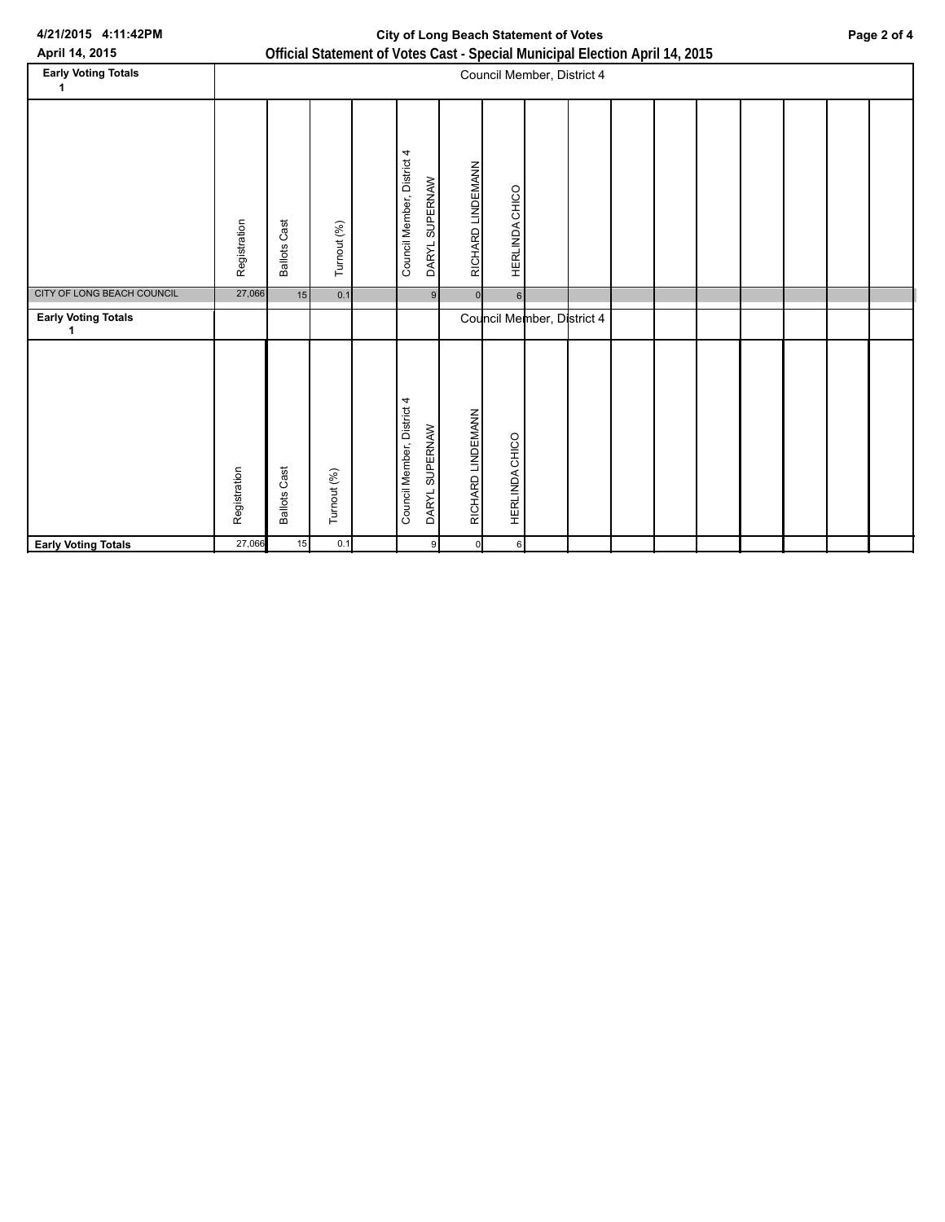## **City of Long Beach Statement of Votes Page 2 of 4**

| April 14, 2015                  | Official Statement of Votes Cast - Special Municipal Election April 14, 2015 |                     |             |  |                            |                |                   |                  |                            |  |  |  |  |  |  |  |
|---------------------------------|------------------------------------------------------------------------------|---------------------|-------------|--|----------------------------|----------------|-------------------|------------------|----------------------------|--|--|--|--|--|--|--|
| <b>Early Voting Totals</b><br>1 |                                                                              |                     |             |  |                            |                |                   |                  | Council Member, District 4 |  |  |  |  |  |  |  |
|                                 | Registration                                                                 | <b>Ballots Cast</b> | Turnout (%) |  | Council Member, District 4 | DARYL SUPERNAW | RICHARD LINDEMANN | HERLINDA CHICO   |                            |  |  |  |  |  |  |  |
| CITY OF LONG BEACH COUNCIL      | 27,066                                                                       | 15                  | 0.1         |  |                            | 9 <sup>1</sup> | $\mathsf{ol}$     | $6 \overline{6}$ |                            |  |  |  |  |  |  |  |
| <b>Early Voting Totals</b><br>1 |                                                                              |                     |             |  |                            |                |                   |                  | Council Member, District 4 |  |  |  |  |  |  |  |
|                                 | Registration                                                                 | <b>Ballots Cast</b> | Turnout (%) |  | Council Member, District 4 | DARYL SUPERNAW | RICHARD LINDEMANN | HERLINDA CHICO   |                            |  |  |  |  |  |  |  |
| <b>Early Voting Totals</b>      | 27,066                                                                       | 15                  | 0.1         |  |                            | 9              | $\mathsf{d}$      | 6                |                            |  |  |  |  |  |  |  |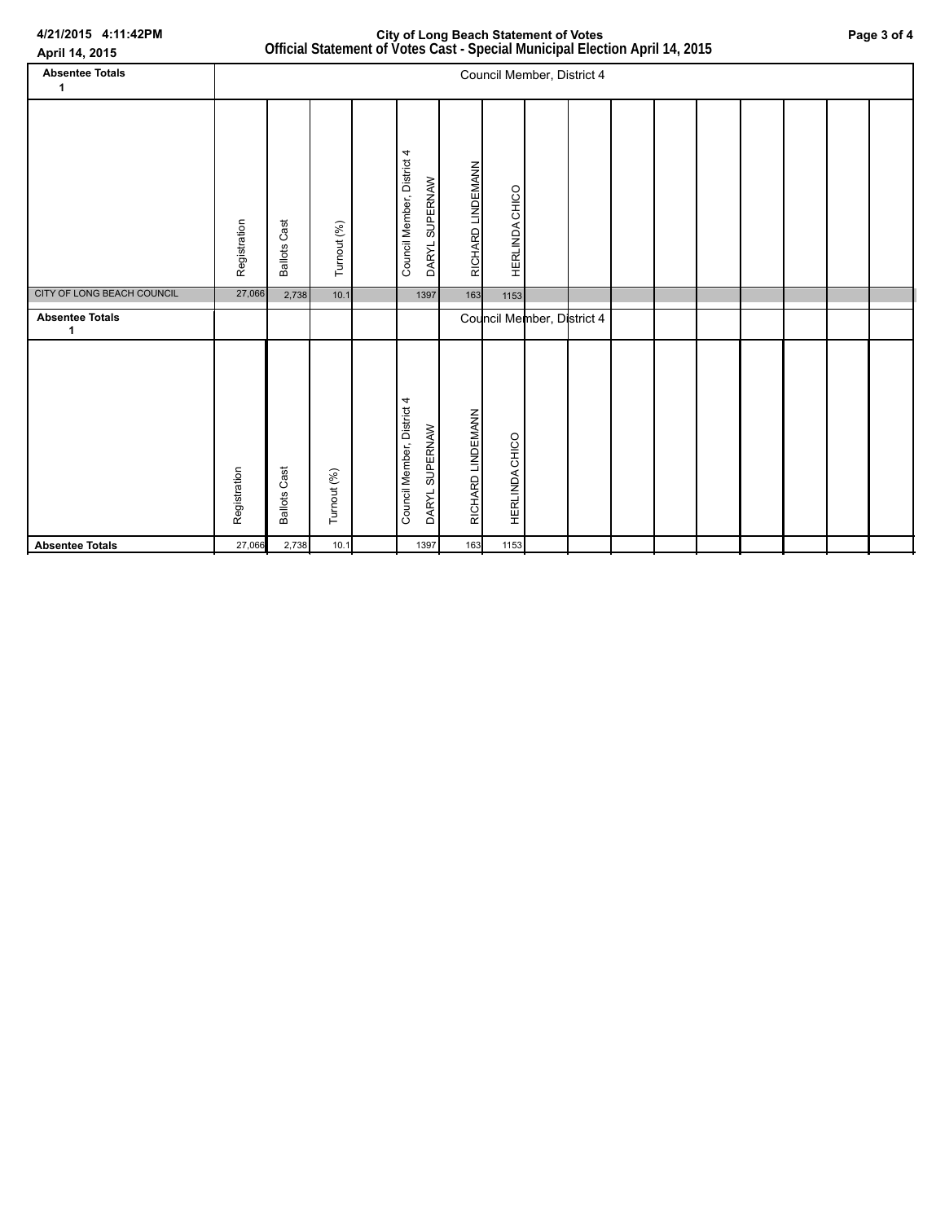| April 14, 2015              |                            |                     |             |  |                                              | Official Statement of Votes Cast - Special Municipal Election April 14, 2015 |                       |                            |  |  |  |  |  |  |  |  |
|-----------------------------|----------------------------|---------------------|-------------|--|----------------------------------------------|------------------------------------------------------------------------------|-----------------------|----------------------------|--|--|--|--|--|--|--|--|
| <b>Absentee Totals</b><br>1 | Council Member, District 4 |                     |             |  |                                              |                                                                              |                       |                            |  |  |  |  |  |  |  |  |
|                             | Registration               | <b>Ballots Cast</b> | Turnout (%) |  | Council Member, District 4<br>DARYL SUPERNAW | RICHARD LINDEMANN                                                            | <b>HERLINDA CHICO</b> |                            |  |  |  |  |  |  |  |  |
| CITY OF LONG BEACH COUNCIL  | 27,066                     | 2,738               | 10.1        |  | 1397                                         | 163                                                                          | 1153                  |                            |  |  |  |  |  |  |  |  |
| <b>Absentee Totals</b><br>1 |                            |                     |             |  |                                              |                                                                              |                       | Council Member, District 4 |  |  |  |  |  |  |  |  |
|                             | Registration               | <b>Ballots Cast</b> | Turnout (%) |  | Council Member, District 4<br>DARYL SUPERNAW | RICHARD LINDEMANN                                                            | HERLINDA CHICO        |                            |  |  |  |  |  |  |  |  |
| <b>Absentee Totals</b>      | 27,066                     | 2,738               | 10.1        |  | 1397                                         | 163                                                                          | 1153                  |                            |  |  |  |  |  |  |  |  |